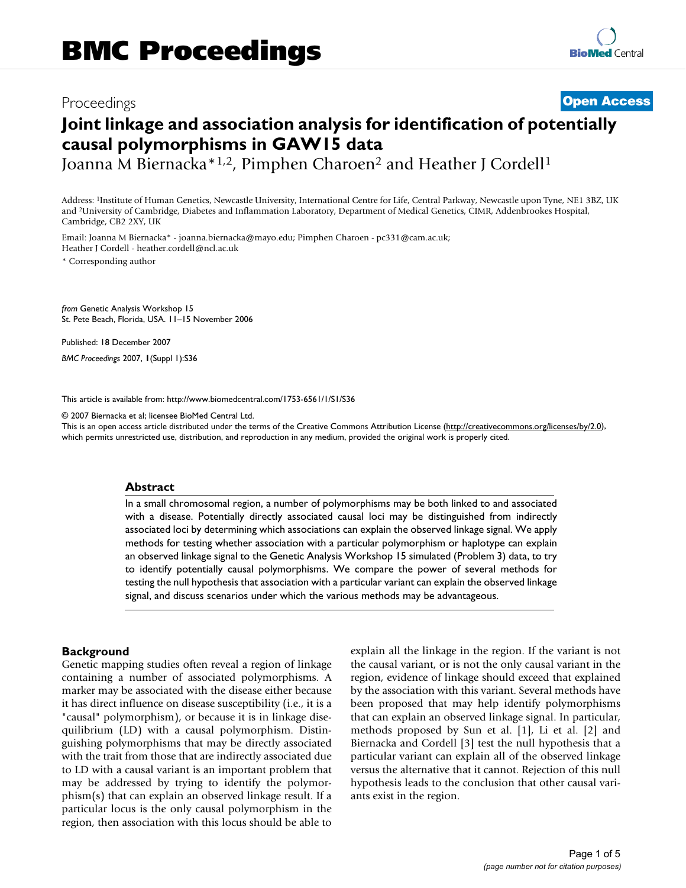## Proceedings **[Open Access](http://www.biomedcentral.com/info/about/charter/)**

# **Joint linkage and association analysis for identification of potentially causal polymorphisms in GAW15 data**

Joanna M Biernacka<sup>\*1,2</sup>, Pimphen Charoen<sup>2</sup> and Heather J Cordell<sup>1</sup>

Address: 1Institute of Human Genetics, Newcastle University, International Centre for Life, Central Parkway, Newcastle upon Tyne, NE1 3BZ, UK and 2University of Cambridge, Diabetes and Inflammation Laboratory, Department of Medical Genetics, CIMR, Addenbrookes Hospital, Cambridge, CB2 2XY, UK

Email: Joanna M Biernacka\* - joanna.biernacka@mayo.edu; Pimphen Charoen - pc331@cam.ac.uk; Heather J Cordell - heather.cordell@ncl.ac.uk

\* Corresponding author

*from* Genetic Analysis Workshop 15 St. Pete Beach, Florida, USA. 11–15 November 2006

Published: 18 December 2007

*BMC Proceedings* 2007, **1**(Suppl 1):S36

[This article is available from: http://www.biomedcentral.com/1753-6561/1/S1/S36](http://www.biomedcentral.com/1753-6561/1/S1/S36)

© 2007 Biernacka et al; licensee BioMed Central Ltd.

This is an open access article distributed under the terms of the Creative Commons Attribution License [\(http://creativecommons.org/licenses/by/2.0\)](http://creativecommons.org/licenses/by/2.0), which permits unrestricted use, distribution, and reproduction in any medium, provided the original work is properly cited.

#### **Abstract**

In a small chromosomal region, a number of polymorphisms may be both linked to and associated with a disease. Potentially directly associated causal loci may be distinguished from indirectly associated loci by determining which associations can explain the observed linkage signal. We apply methods for testing whether association with a particular polymorphism or haplotype can explain an observed linkage signal to the Genetic Analysis Workshop 15 simulated (Problem 3) data, to try to identify potentially causal polymorphisms. We compare the power of several methods for testing the null hypothesis that association with a particular variant can explain the observed linkage signal, and discuss scenarios under which the various methods may be advantageous.

#### **Background**

Genetic mapping studies often reveal a region of linkage containing a number of associated polymorphisms. A marker may be associated with the disease either because it has direct influence on disease susceptibility (i.e., it is a "causal" polymorphism), or because it is in linkage disequilibrium (LD) with a causal polymorphism. Distinguishing polymorphisms that may be directly associated with the trait from those that are indirectly associated due to LD with a causal variant is an important problem that may be addressed by trying to identify the polymorphism(s) that can explain an observed linkage result. If a particular locus is the only causal polymorphism in the region, then association with this locus should be able to explain all the linkage in the region. If the variant is not the causal variant, or is not the only causal variant in the region, evidence of linkage should exceed that explained by the association with this variant. Several methods have been proposed that may help identify polymorphisms that can explain an observed linkage signal. In particular, methods proposed by Sun et al. [1], Li et al. [2] and Biernacka and Cordell [3] test the null hypothesis that a particular variant can explain all of the observed linkage versus the alternative that it cannot. Rejection of this null hypothesis leads to the conclusion that other causal variants exist in the region.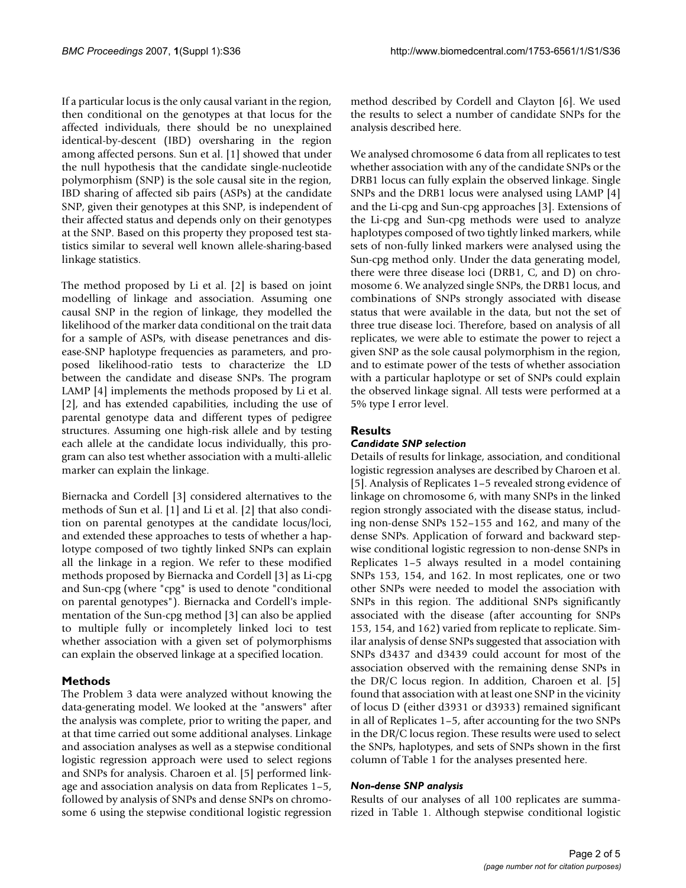If a particular locus is the only causal variant in the region, then conditional on the genotypes at that locus for the affected individuals, there should be no unexplained identical-by-descent (IBD) oversharing in the region among affected persons. Sun et al. [1] showed that under the null hypothesis that the candidate single-nucleotide polymorphism (SNP) is the sole causal site in the region, IBD sharing of affected sib pairs (ASPs) at the candidate SNP, given their genotypes at this SNP, is independent of their affected status and depends only on their genotypes at the SNP. Based on this property they proposed test statistics similar to several well known allele-sharing-based linkage statistics.

The method proposed by Li et al. [2] is based on joint modelling of linkage and association. Assuming one causal SNP in the region of linkage, they modelled the likelihood of the marker data conditional on the trait data for a sample of ASPs, with disease penetrances and disease-SNP haplotype frequencies as parameters, and proposed likelihood-ratio tests to characterize the LD between the candidate and disease SNPs. The program LAMP [4] implements the methods proposed by Li et al. [2], and has extended capabilities, including the use of parental genotype data and different types of pedigree structures. Assuming one high-risk allele and by testing each allele at the candidate locus individually, this program can also test whether association with a multi-allelic marker can explain the linkage.

Biernacka and Cordell [3] considered alternatives to the methods of Sun et al. [1] and Li et al. [2] that also condition on parental genotypes at the candidate locus/loci, and extended these approaches to tests of whether a haplotype composed of two tightly linked SNPs can explain all the linkage in a region. We refer to these modified methods proposed by Biernacka and Cordell [3] as Li-cpg and Sun-cpg (where "cpg" is used to denote "conditional on parental genotypes"). Biernacka and Cordell's implementation of the Sun-cpg method [3] can also be applied to multiple fully or incompletely linked loci to test whether association with a given set of polymorphisms can explain the observed linkage at a specified location.

#### **Methods**

The Problem 3 data were analyzed without knowing the data-generating model. We looked at the "answers" after the analysis was complete, prior to writing the paper, and at that time carried out some additional analyses. Linkage and association analyses as well as a stepwise conditional logistic regression approach were used to select regions and SNPs for analysis. Charoen et al. [5] performed linkage and association analysis on data from Replicates 1–5, followed by analysis of SNPs and dense SNPs on chromosome 6 using the stepwise conditional logistic regression

method described by Cordell and Clayton [6]. We used the results to select a number of candidate SNPs for the analysis described here.

We analysed chromosome 6 data from all replicates to test whether association with any of the candidate SNPs or the DRB1 locus can fully explain the observed linkage. Single SNPs and the DRB1 locus were analysed using LAMP [4] and the Li-cpg and Sun-cpg approaches [3]. Extensions of the Li-cpg and Sun-cpg methods were used to analyze haplotypes composed of two tightly linked markers, while sets of non-fully linked markers were analysed using the Sun-cpg method only. Under the data generating model, there were three disease loci (DRB1, C, and D) on chromosome 6. We analyzed single SNPs, the DRB1 locus, and combinations of SNPs strongly associated with disease status that were available in the data, but not the set of three true disease loci. Therefore, based on analysis of all replicates, we were able to estimate the power to reject a given SNP as the sole causal polymorphism in the region, and to estimate power of the tests of whether association with a particular haplotype or set of SNPs could explain the observed linkage signal. All tests were performed at a 5% type I error level.

### **Results**

#### *Candidate SNP selection*

Details of results for linkage, association, and conditional logistic regression analyses are described by Charoen et al. [5]. Analysis of Replicates 1–5 revealed strong evidence of linkage on chromosome 6, with many SNPs in the linked region strongly associated with the disease status, including non-dense SNPs 152–155 and 162, and many of the dense SNPs. Application of forward and backward stepwise conditional logistic regression to non-dense SNPs in Replicates 1–5 always resulted in a model containing SNPs 153, 154, and 162. In most replicates, one or two other SNPs were needed to model the association with SNPs in this region. The additional SNPs significantly associated with the disease (after accounting for SNPs 153, 154, and 162) varied from replicate to replicate. Similar analysis of dense SNPs suggested that association with SNPs d3437 and d3439 could account for most of the association observed with the remaining dense SNPs in the DR/C locus region. In addition, Charoen et al. [5] found that association with at least one SNP in the vicinity of locus D (either d3931 or d3933) remained significant in all of Replicates 1–5, after accounting for the two SNPs in the DR/C locus region. These results were used to select the SNPs, haplotypes, and sets of SNPs shown in the first column of Table 1 for the analyses presented here.

#### *Non-dense SNP analysis*

Results of our analyses of all 100 replicates are summarized in Table 1. Although stepwise conditional logistic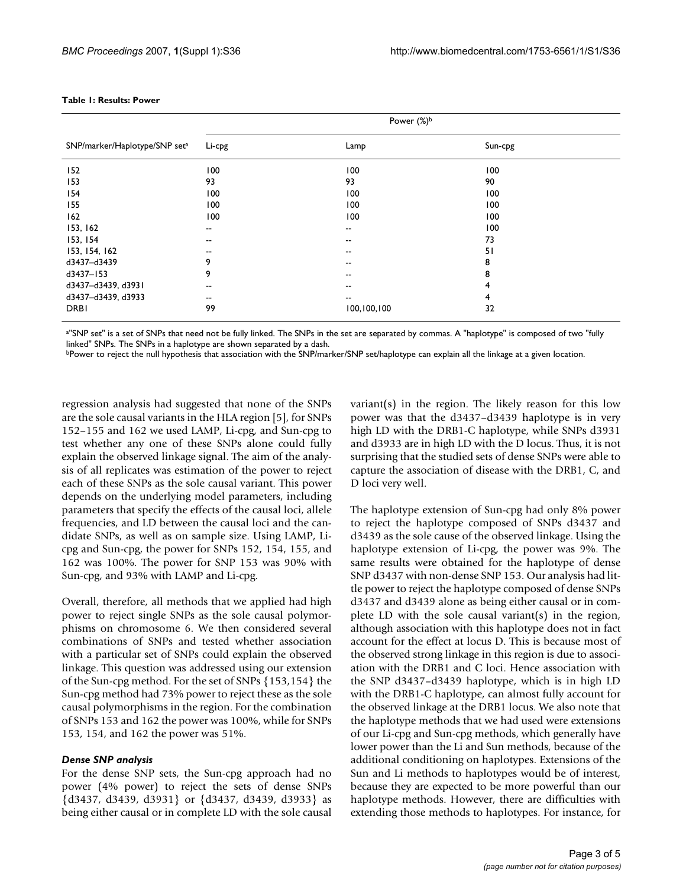|  |  | Table 1: Results: Power |  |
|--|--|-------------------------|--|
|--|--|-------------------------|--|

|                                           | Power (%) <sup>b</sup>   |             |         |
|-------------------------------------------|--------------------------|-------------|---------|
| SNP/marker/Haplotype/SNP set <sup>a</sup> | Li-cpg                   | Lamp        | Sun-cpg |
| 152                                       | 100                      | 100         | 100     |
| 153                                       | 93                       | 93          | 90      |
| 154                                       | 100                      | 100         | 100     |
| 155                                       | 100                      | 100         | 100     |
| 162                                       | 100                      | 100         | 100     |
| 153, 162                                  | $\overline{\phantom{a}}$ | --          | 100     |
| 153, 154                                  | --                       | --          | 73      |
| 153, 154, 162                             | --                       | --          | 51      |
| d3437-d3439                               | 9                        | --          | 8       |
| d3437-153                                 | 9                        | --          | 8       |
| d3437-d3439, d3931                        | $\overline{\phantom{m}}$ | --          | 4       |
| d3437-d3439, d3933                        | $\overline{\phantom{m}}$ | --          | 4       |
| <b>DRBI</b>                               | 99                       | 100,100,100 | 32      |

a"SNP set" is a set of SNPs that need not be fully linked. The SNPs in the set are separated by commas. A "haplotype" is composed of two "fully linked" SNPs. The SNPs in a haplotype are shown separated by a dash.

bPower to reject the null hypothesis that association with the SNP/marker/SNP set/haplotype can explain all the linkage at a given location.

regression analysis had suggested that none of the SNPs are the sole causal variants in the HLA region [5], for SNPs 152–155 and 162 we used LAMP, Li-cpg, and Sun-cpg to test whether any one of these SNPs alone could fully explain the observed linkage signal. The aim of the analysis of all replicates was estimation of the power to reject each of these SNPs as the sole causal variant. This power depends on the underlying model parameters, including parameters that specify the effects of the causal loci, allele frequencies, and LD between the causal loci and the candidate SNPs, as well as on sample size. Using LAMP, Licpg and Sun-cpg, the power for SNPs 152, 154, 155, and 162 was 100%. The power for SNP 153 was 90% with Sun-cpg, and 93% with LAMP and Li-cpg.

Overall, therefore, all methods that we applied had high power to reject single SNPs as the sole causal polymorphisms on chromosome 6. We then considered several combinations of SNPs and tested whether association with a particular set of SNPs could explain the observed linkage. This question was addressed using our extension of the Sun-cpg method. For the set of SNPs {153,154} the Sun-cpg method had 73% power to reject these as the sole causal polymorphisms in the region. For the combination of SNPs 153 and 162 the power was 100%, while for SNPs 153, 154, and 162 the power was 51%.

#### *Dense SNP analysis*

For the dense SNP sets, the Sun-cpg approach had no power (4% power) to reject the sets of dense SNPs {d3437, d3439, d3931} or {d3437, d3439, d3933} as being either causal or in complete LD with the sole causal

variant(s) in the region. The likely reason for this low power was that the d3437–d3439 haplotype is in very high LD with the DRB1-C haplotype, while SNPs d3931 and d3933 are in high LD with the D locus. Thus, it is not surprising that the studied sets of dense SNPs were able to capture the association of disease with the DRB1, C, and D loci very well.

The haplotype extension of Sun-cpg had only 8% power to reject the haplotype composed of SNPs d3437 and d3439 as the sole cause of the observed linkage. Using the haplotype extension of Li-cpg, the power was 9%. The same results were obtained for the haplotype of dense SNP d3437 with non-dense SNP 153. Our analysis had little power to reject the haplotype composed of dense SNPs d3437 and d3439 alone as being either causal or in complete LD with the sole causal variant(s) in the region, although association with this haplotype does not in fact account for the effect at locus D. This is because most of the observed strong linkage in this region is due to association with the DRB1 and C loci. Hence association with the SNP d3437–d3439 haplotype, which is in high LD with the DRB1-C haplotype, can almost fully account for the observed linkage at the DRB1 locus. We also note that the haplotype methods that we had used were extensions of our Li-cpg and Sun-cpg methods, which generally have lower power than the Li and Sun methods, because of the additional conditioning on haplotypes. Extensions of the Sun and Li methods to haplotypes would be of interest, because they are expected to be more powerful than our haplotype methods. However, there are difficulties with extending those methods to haplotypes. For instance, for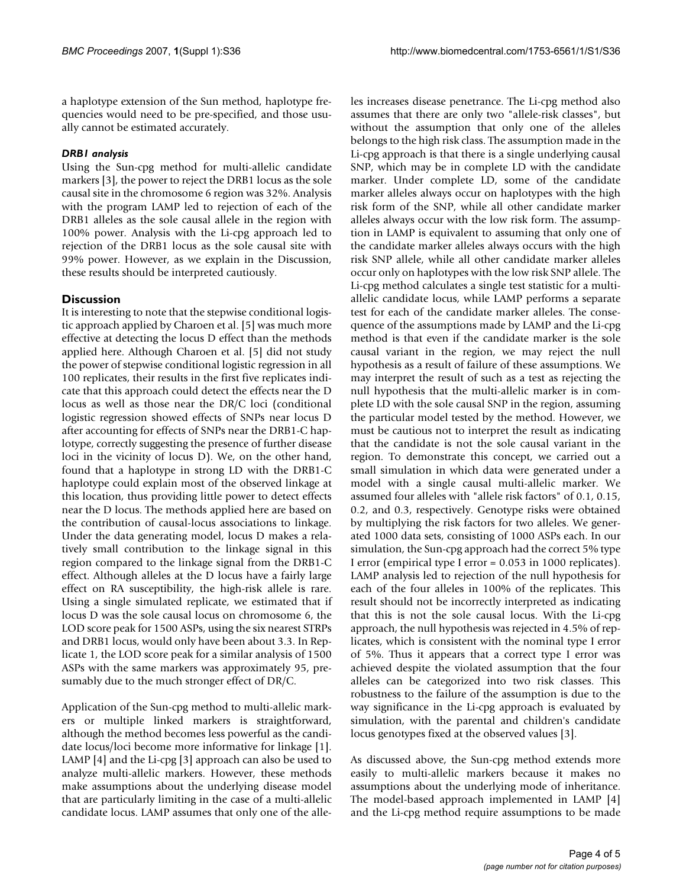a haplotype extension of the Sun method, haplotype frequencies would need to be pre-specified, and those usually cannot be estimated accurately.

#### *DRB1 analysis*

Using the Sun-cpg method for multi-allelic candidate markers [3], the power to reject the DRB1 locus as the sole causal site in the chromosome 6 region was 32%. Analysis with the program LAMP led to rejection of each of the DRB1 alleles as the sole causal allele in the region with 100% power. Analysis with the Li-cpg approach led to rejection of the DRB1 locus as the sole causal site with 99% power. However, as we explain in the Discussion, these results should be interpreted cautiously.

#### **Discussion**

It is interesting to note that the stepwise conditional logistic approach applied by Charoen et al. [5] was much more effective at detecting the locus D effect than the methods applied here. Although Charoen et al. [5] did not study the power of stepwise conditional logistic regression in all 100 replicates, their results in the first five replicates indicate that this approach could detect the effects near the D locus as well as those near the DR/C loci (conditional logistic regression showed effects of SNPs near locus D after accounting for effects of SNPs near the DRB1-C haplotype, correctly suggesting the presence of further disease loci in the vicinity of locus D). We, on the other hand, found that a haplotype in strong LD with the DRB1-C haplotype could explain most of the observed linkage at this location, thus providing little power to detect effects near the D locus. The methods applied here are based on the contribution of causal-locus associations to linkage. Under the data generating model, locus D makes a relatively small contribution to the linkage signal in this region compared to the linkage signal from the DRB1-C effect. Although alleles at the D locus have a fairly large effect on RA susceptibility, the high-risk allele is rare. Using a single simulated replicate, we estimated that if locus D was the sole causal locus on chromosome 6, the LOD score peak for 1500 ASPs, using the six nearest STRPs and DRB1 locus, would only have been about 3.3. In Replicate 1, the LOD score peak for a similar analysis of 1500 ASPs with the same markers was approximately 95, presumably due to the much stronger effect of DR/C.

Application of the Sun-cpg method to multi-allelic markers or multiple linked markers is straightforward, although the method becomes less powerful as the candidate locus/loci become more informative for linkage [1]. LAMP [4] and the Li-cpg [3] approach can also be used to analyze multi-allelic markers. However, these methods make assumptions about the underlying disease model that are particularly limiting in the case of a multi-allelic candidate locus. LAMP assumes that only one of the alleles increases disease penetrance. The Li-cpg method also assumes that there are only two "allele-risk classes", but without the assumption that only one of the alleles belongs to the high risk class. The assumption made in the Li-cpg approach is that there is a single underlying causal SNP, which may be in complete LD with the candidate marker. Under complete LD, some of the candidate marker alleles always occur on haplotypes with the high risk form of the SNP, while all other candidate marker alleles always occur with the low risk form. The assumption in LAMP is equivalent to assuming that only one of the candidate marker alleles always occurs with the high risk SNP allele, while all other candidate marker alleles occur only on haplotypes with the low risk SNP allele. The Li-cpg method calculates a single test statistic for a multiallelic candidate locus, while LAMP performs a separate test for each of the candidate marker alleles. The consequence of the assumptions made by LAMP and the Li-cpg method is that even if the candidate marker is the sole causal variant in the region, we may reject the null hypothesis as a result of failure of these assumptions. We may interpret the result of such as a test as rejecting the null hypothesis that the multi-allelic marker is in complete LD with the sole causal SNP in the region, assuming the particular model tested by the method. However, we must be cautious not to interpret the result as indicating that the candidate is not the sole causal variant in the region. To demonstrate this concept, we carried out a small simulation in which data were generated under a model with a single causal multi-allelic marker. We assumed four alleles with "allele risk factors" of 0.1, 0.15, 0.2, and 0.3, respectively. Genotype risks were obtained by multiplying the risk factors for two alleles. We generated 1000 data sets, consisting of 1000 ASPs each. In our simulation, the Sun-cpg approach had the correct 5% type I error (empirical type I error = 0.053 in 1000 replicates). LAMP analysis led to rejection of the null hypothesis for each of the four alleles in 100% of the replicates. This result should not be incorrectly interpreted as indicating that this is not the sole causal locus. With the Li-cpg approach, the null hypothesis was rejected in 4.5% of replicates, which is consistent with the nominal type I error of 5%. Thus it appears that a correct type I error was achieved despite the violated assumption that the four alleles can be categorized into two risk classes. This robustness to the failure of the assumption is due to the way significance in the Li-cpg approach is evaluated by simulation, with the parental and children's candidate locus genotypes fixed at the observed values [3].

As discussed above, the Sun-cpg method extends more easily to multi-allelic markers because it makes no assumptions about the underlying mode of inheritance. The model-based approach implemented in LAMP [4] and the Li-cpg method require assumptions to be made